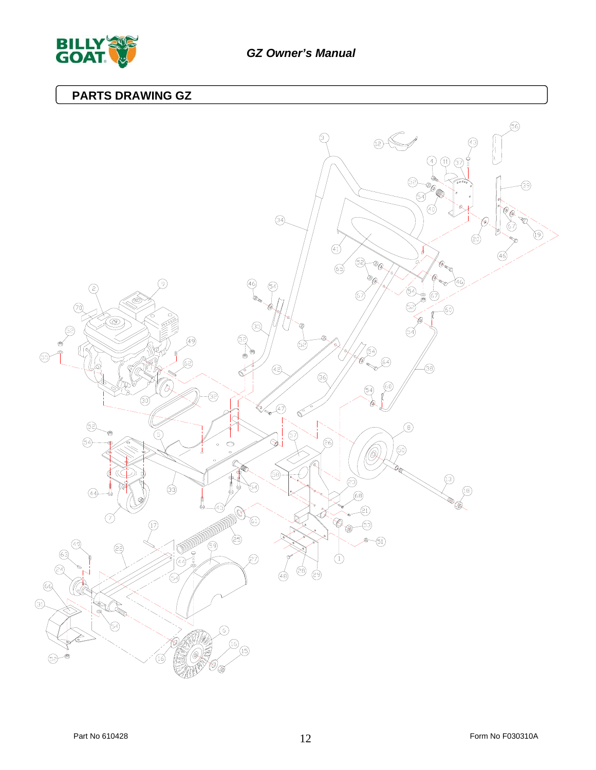

## **PARTS DRAWING GZ**